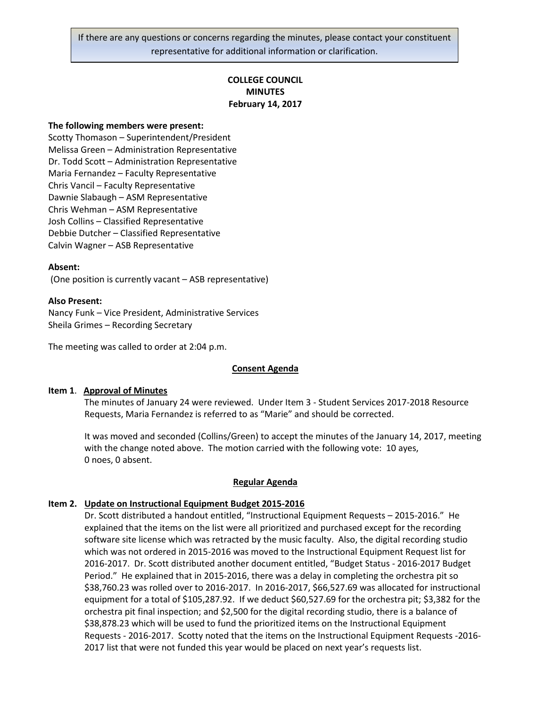If there are any questions or concerns regarding the minutes, please contact your constituent representative for additional information or clarification.

# **COLLEGE COUNCIL MINUTES February 14, 2017**

#### **The following members were present:**

Scotty Thomason – Superintendent/President Melissa Green – Administration Representative Dr. Todd Scott – Administration Representative Maria Fernandez – Faculty Representative Chris Vancil – Faculty Representative Dawnie Slabaugh – ASM Representative Chris Wehman – ASM Representative Josh Collins – Classified Representative Debbie Dutcher – Classified Representative Calvin Wagner – ASB Representative

#### **Absent:**

(One position is currently vacant – ASB representative)

#### **Also Present:**

Nancy Funk – Vice President, Administrative Services Sheila Grimes – Recording Secretary

The meeting was called to order at 2:04 p.m.

#### **Consent Agenda**

#### **Item 1**. **Approval of Minutes**

The minutes of January 24 were reviewed. Under Item 3 - Student Services 2017-2018 Resource Requests, Maria Fernandez is referred to as "Marie" and should be corrected.

It was moved and seconded (Collins/Green) to accept the minutes of the January 14, 2017, meeting with the change noted above. The motion carried with the following vote: 10 ayes, 0 noes, 0 absent.

#### **Regular Agenda**

#### **Item 2. Update on Instructional Equipment Budget 2015-2016**

Dr. Scott distributed a handout entitled, "Instructional Equipment Requests – 2015-2016." He explained that the items on the list were all prioritized and purchased except for the recording software site license which was retracted by the music faculty. Also, the digital recording studio which was not ordered in 2015-2016 was moved to the Instructional Equipment Request list for 2016-2017. Dr. Scott distributed another document entitled, "Budget Status - 2016-2017 Budget Period." He explained that in 2015-2016, there was a delay in completing the orchestra pit so \$38,760.23 was rolled over to 2016-2017. In 2016-2017, \$66,527.69 was allocated for instructional equipment for a total of \$105,287.92. If we deduct \$60,527.69 for the orchestra pit; \$3,382 for the orchestra pit final inspection; and \$2,500 for the digital recording studio, there is a balance of \$38,878.23 which will be used to fund the prioritized items on the Instructional Equipment Requests - 2016-2017. Scotty noted that the items on the Instructional Equipment Requests -2016- 2017 list that were not funded this year would be placed on next year's requests list.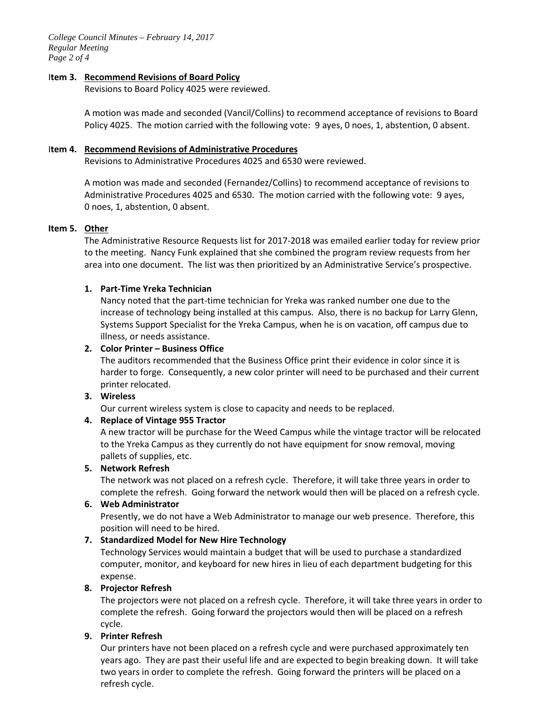*College Council Minutes – February 14, 2017 Regular Meeting Page 2 of 4*

### I**tem 3. Recommend Revisions of Board Policy**

Revisions to Board Policy 4025 were reviewed.

A motion was made and seconded (Vancil/Collins) to recommend acceptance of revisions to Board Policy 4025. The motion carried with the following vote: 9 ayes, 0 noes, 1, abstention, 0 absent.

### I**tem 4. Recommend Revisions of Administrative Procedures**

Revisions to Administrative Procedures 4025 and 6530 were reviewed.

A motion was made and seconded (Fernandez/Collins) to recommend acceptance of revisions to Administrative Procedures 4025 and 6530. The motion carried with the following vote: 9 ayes, 0 noes, 1, abstention, 0 absent.

# **Item 5. Other**

The Administrative Resource Requests list for 2017-2018 was emailed earlier today for review prior to the meeting. Nancy Funk explained that she combined the program review requests from her area into one document. The list was then prioritized by an Administrative Service's prospective.

### **1. Part-Time Yreka Technician**

Nancy noted that the part-time technician for Yreka was ranked number one due to the increase of technology being installed at this campus. Also, there is no backup for Larry Glenn, Systems Support Specialist for the Yreka Campus, when he is on vacation, off campus due to illness, or needs assistance.

### **2. Color Printer – Business Office**

The auditors recommended that the Business Office print their evidence in color since it is harder to forge. Consequently, a new color printer will need to be purchased and their current printer relocated.

# **3. Wireless**

Our current wireless system is close to capacity and needs to be replaced.

# **4. Replace of Vintage 955 Tractor**

A new tractor will be purchase for the Weed Campus while the vintage tractor will be relocated to the Yreka Campus as they currently do not have equipment for snow removal, moving pallets of supplies, etc.

# **5. Network Refresh**

The network was not placed on a refresh cycle. Therefore, it will take three years in order to complete the refresh. Going forward the network would then will be placed on a refresh cycle.

# **6. Web Administrator**

Presently, we do not have a Web Administrator to manage our web presence. Therefore, this position will need to be hired.

# **7. Standardized Model for New Hire Technology**

Technology Services would maintain a budget that will be used to purchase a standardized computer, monitor, and keyboard for new hires in lieu of each department budgeting for this expense.

#### **8. Projector Refresh**

The projectors were not placed on a refresh cycle. Therefore, it will take three years in order to complete the refresh. Going forward the projectors would then will be placed on a refresh cycle.

# **9. Printer Refresh**

Our printers have not been placed on a refresh cycle and were purchased approximately ten years ago. They are past their useful life and are expected to begin breaking down. It will take two years in order to complete the refresh. Going forward the printers will be placed on a refresh cycle.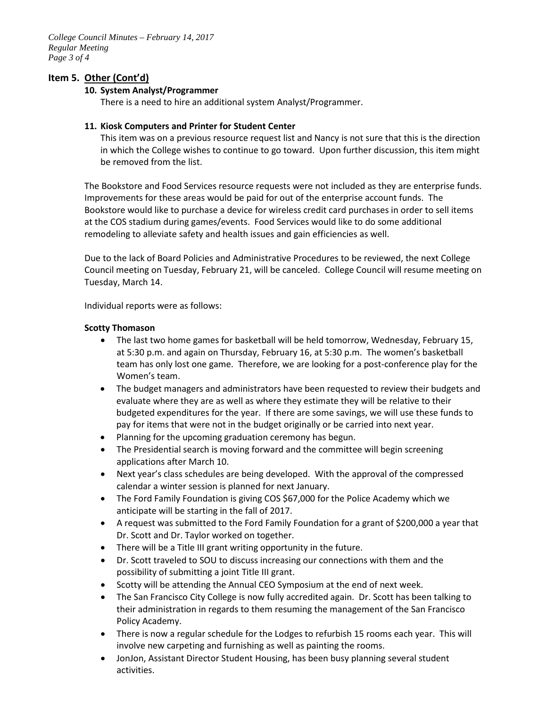*College Council Minutes – February 14, 2017 Regular Meeting Page 3 of 4*

# **Item 5. Other (Cont'd)**

### **10. System Analyst/Programmer**

There is a need to hire an additional system Analyst/Programmer.

### **11. Kiosk Computers and Printer for Student Center**

This item was on a previous resource request list and Nancy is not sure that this is the direction in which the College wishes to continue to go toward. Upon further discussion, this item might be removed from the list.

The Bookstore and Food Services resource requests were not included as they are enterprise funds. Improvements for these areas would be paid for out of the enterprise account funds. The Bookstore would like to purchase a device for wireless credit card purchases in order to sell items at the COS stadium during games/events. Food Services would like to do some additional remodeling to alleviate safety and health issues and gain efficiencies as well.

Due to the lack of Board Policies and Administrative Procedures to be reviewed, the next College Council meeting on Tuesday, February 21, will be canceled. College Council will resume meeting on Tuesday, March 14.

Individual reports were as follows:

### **Scotty Thomason**

- The last two home games for basketball will be held tomorrow, Wednesday, February 15, at 5:30 p.m. and again on Thursday, February 16, at 5:30 p.m. The women's basketball team has only lost one game. Therefore, we are looking for a post-conference play for the Women's team.
- The budget managers and administrators have been requested to review their budgets and evaluate where they are as well as where they estimate they will be relative to their budgeted expenditures for the year. If there are some savings, we will use these funds to pay for items that were not in the budget originally or be carried into next year.
- Planning for the upcoming graduation ceremony has begun.
- The Presidential search is moving forward and the committee will begin screening applications after March 10.
- Next year's class schedules are being developed. With the approval of the compressed calendar a winter session is planned for next January.
- The Ford Family Foundation is giving COS \$67,000 for the Police Academy which we anticipate will be starting in the fall of 2017.
- A request was submitted to the Ford Family Foundation for a grant of \$200,000 a year that Dr. Scott and Dr. Taylor worked on together.
- There will be a Title III grant writing opportunity in the future.
- Dr. Scott traveled to SOU to discuss increasing our connections with them and the possibility of submitting a joint Title III grant.
- Scotty will be attending the Annual CEO Symposium at the end of next week.
- The San Francisco City College is now fully accredited again. Dr. Scott has been talking to their administration in regards to them resuming the management of the San Francisco Policy Academy.
- There is now a regular schedule for the Lodges to refurbish 15 rooms each year. This will involve new carpeting and furnishing as well as painting the rooms.
- JonJon, Assistant Director Student Housing, has been busy planning several student activities.